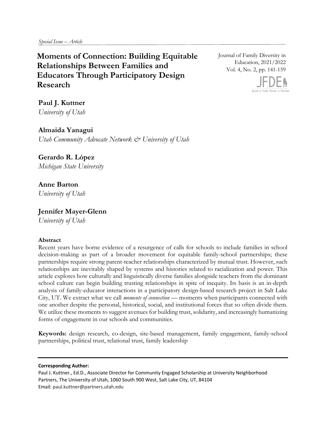*Special Issue – Article* 

 **Relationships Between Families and Moments of Connection: Building Equitable Educators Through Participatory Design Research**

Journal of Family Diversity in Education, 2021/2022 Vol. 4, No. 2, pp. 141-159



**Paul J. Kuttner**  *University of Utah*

# **Almaida Yanagui**

*Utah Community Advocate Network & University of Utah*

# **Gerardo R. López**

*Michigan State University*

# **Anne Barton**

*University of Utah*

# **Jennifer Mayer-Glenn**

*University of Utah*

# **Abstract**

Recent years have borne evidence of a resurgence of calls for schools to include families in school decision-making as part of a broader movement for equitable family-school partnerships; these partnerships require strong parent-teacher relationships characterized by mutual trust. However, such relationships are inevitably shaped by systems and histories related to racialization and power. This article explores how culturally and linguistically diverse families alongside teachers from the dominant school culture can begin building trusting relationships in spite of inequity. Its basis is an in-depth analysis of family-educator interactions in a participatory design-based research project in Salt Lake City, UT. We extract what we call *moments of connection* — moments when participants connected with one another despite the personal, historical, social, and institutional forces that so often divide them. We utilize these moments to suggest avenues for building trust, solidarity, and increasingly humanizing forms of engagement in our schools and communities.

**Keywords:** design research, co-design, site-based management, family engagement, family-school partnerships, political trust, relational trust, family leadership

## **Corresponding Author:**

Paul J. Kuttner., Ed.D., Associate Director for Community Engaged Scholarship at University Neighborhood Partners, The University of Utah, 1060 South 900 West, Salt Lake City, UT, 84104 Email: paul.kuttner@partners.utah.edu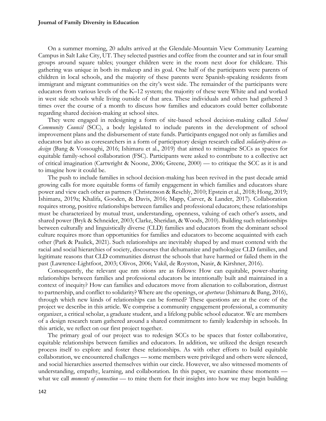On a summer morning, 20 adults arrived at the Glendale-Mountain View Community Learning Campus in Salt Lake City, UT. They selected pastries and coffee from the counter and sat in four small groups around square tables; younger children were in the room next door for childcare. This gathering was unique in both its makeup and its goal. One half of the participants were parents of children in local schools, and the majority of these parents were Spanish-speaking residents from immigrant and migrant communities on the city's west side. The remainder of the participants were educators from various levels of the K–12 system; the majority of these were White and and worked in west side schools while living outside of that area. These individuals and others had gathered 3 times over the course of a month to discuss how families and educators could better collaborate regarding shared decision-making at school sites.

They were engaged in redesigning a form of site-based school decision-making called *School Community Council* (SCC), a body legislated to include parents in the development of school improvement plans and the disbursement of state funds. Participants engaged not only as families and educators but also as coresearchers in a form of participatory design research called *solidarity-driven codesign* (Bang & Vossoughi, 2016; Ishimaru et al., 2019) that aimed to reimagine SCCs as spaces for equitable family-school collaboration (FSC). Participants were asked to contribute to a collective act of critical imagination (Cartwright & Noone, 2006; Greene, 2000) — to critique the SCC as it is and to imagine how it could be.

The push to include families in school decision-making has been revived in the past decade amid growing calls for more equitable forms of family engagement in which families and educators share power and view each other as partners (Christenson & Reschly, 2010; Epstein et al., 2018; Hong, 2019; Ishimaru, 2019a; Khalifa, Gooden, & Davis, 2016; Mapp, Carver, & Lander, 2017). Collaboration requires strong, positive relationships between families and professional educators; these relationships must be characterized by mutual trust, understanding, openness, valuing of each other's assets, and shared power (Bryk & Schneider, 2003; Clarke, Sheridan, & Woods, 2010). Building such relationships between culturally and linguistically diverse (CLD) families and educators from the dominant school culture requires more than opportunities for families and educators to become acquainted with each other (Park & Paulick, 2021). Such relationships are inevitably shaped by and must contend with the racial and social hierarchies of society, discourses that dehumanize and pathologize CLD families, and legitimate reasons that CLD communities distrust the schools that have harmed or failed them in the past (Lawrence-Lightfoot, 2003; Olivos, 2006; Vakil, de Royston, Nasir, & Kirshner, 2016).

Consequently, the relevant que nm stions are as follows: How can equitable, power-sharing relationships between families and professional educators be intentionally built and maintained in a context of inequity? How can families and educators move from alienation to collaboration, distrust to partnership, and conflict to solidarity? Where are the openings, or *aperturas* (Ishimaru & Bang, 2016), through which new kinds of relationships can be formed? These questions are at the core of the project we describe in this article. We comprise a community engagement professional, a community organizer, a critical scholar, a graduate student, and a lifelong public school educator. We are members of a design research team gathered around a shared commitment to family leadership in schools. In this article, we reflect on our first project together.

The primary goal of our project was to redesign SCCs to be spaces that foster collaborative, equitable relationships between families and educators. In addition, we utilized the design research process itself to explore and foster these relationships. As with other efforts to build equitable collaboration, we encountered challenges — some members were privileged and others were silenced, and social hierarchies asserted themselves within our circle. However, we also witnessed moments of understanding, empathy, learning, and collaboration. In this paper, we examine these moments what we call *moments of connection* — to mine them for their insights into how we may begin building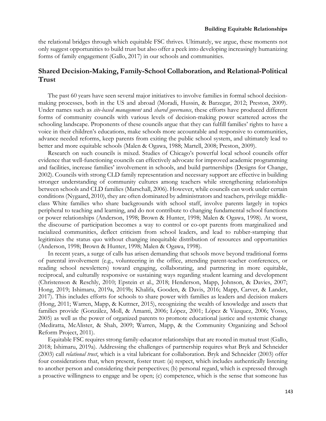the relational bridges through which equitable FSC thrives. Ultimately, we argue, these moments not only suggest opportunities to build trust but also offer a peek into developing increasingly humanizing forms of family engagement (Gallo, 2017) in our schools and communities.

# **Shared Decision-Making, Family-School Collaboration, and Relational-Political Trust**

The past 60 years have seen several major initiatives to involve families in formal school decisionmaking processes, both in the US and abroad (Moradi, Hussin, & Barzegar, 2012; Preston, 2009). Under names such as *site-based management* and *shared governance*, these efforts have produced different forms of community councils with various levels of decision-making power scattered across the schooling landscape. Proponents of these councils argue that they can fulfill families' rights to have a voice in their children's educations, make schools more accountable and responsive to communities, advance needed reforms, keep parents from exiting the public school system, and ultimately lead to better and more equitable schools (Malen & Ogawa, 1988; Martell, 2008; Preston, 2009).

Research on such councils is mixed. Studies of Chicago's powerful local school councils offer evidence that well-functioning councils can effectively advocate for improved academic programming and facilities, increase families' involvement in schools, and build partnerships (Designs for Change, 2002). Councils with strong CLD family representation and necessary support are effective in building stronger understanding of community cultures among teachers while strengthening relationships between schools and CLD families (Marschall, 2006). However, while councils can work under certain conditions (Nygaard, 2010), they are often dominated by administrators and teachers, privilege middleclass White families who share backgrounds with school staff, involve parents largely in topics peripheral to teaching and learning, and do not contribute to changing fundamental school functions or power relationships (Anderson, 1998; Brown & Hunter, 1998; Malen & Ogawa, 1998). At worst, the discourse of participation becomes a way to control or co-opt parents from marginalized and racialized communities, deflect criticism from school leaders, and lead to rubber-stamping that legitimizes the status quo without changing inequitable distribution of resources and opportunities (Anderson, 1998; Brown & Hunter, 1998; Malen & Ogawa, 1998).

In recent years, a surge of calls has arisen demanding that schools move beyond traditional forms of parental involvement (e.g., volunteering in the office, attending parent-teacher conferences, or reading school newsletters) toward engaging, collaborating, and partnering in more equitable, reciprocal, and culturally responsive or sustaining ways regarding student learning and development (Christenson & Reschly, 2010; Epstein et al., 2018; Henderson, Mapp, Johnson, & Davies, 2007; Hong, 2019; Ishimaru, 2019a, 2019b; Khalifa, Gooden, & Davis, 2016; Mapp, Carver, & Lander, 2017). This includes efforts for schools to share power with families as leaders and decision makers (Hong, 2011; Warren, Mapp, & Kuttner, 2015), recognizing the wealth of knowledge and assets that families provide (González, Moll, & Amanti, 2006; López, 2001; López & Vàzquez, 2006; Yosso, 2005) as well as the power of organized parents to promote educational justice and systemic change (Mediratta, McAlister, & Shah, 2009; Warren, Mapp, & the Community Organizing and School Reform Project, 2011).

Equitable FSC requires strong family-educator relationships that are rooted in mutual trust (Gallo, 2018; Ishimaru, 2019a). Addressing the challenges of partnership requires what Bryk and Schneider (2003) call *relational trust*, which is a vital lubricant for collaboration. Bryk and Schneider (2003) offer four considerations that, when present, foster trust: (a) respect, which includes authentically listening to another person and considering their perspectives; (b) personal regard, which is expressed through a proactive willingness to engage and be open; (c) competence, which is the sense that someone has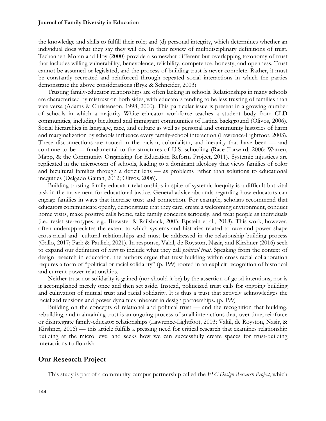the knowledge and skills to fulfill their role; and (d) personal integrity, which determines whether an individual does what they say they will do. In their review of multidisciplinary definitions of trust, Tschannen-Moran and Hoy (2000) provide a somewhat different but overlapping taxonomy of trust that includes willing vulnerability, benevolence, reliability, competence, honesty, and openness. Trust cannot be assumed or legislated, and the process of building trust is never complete. Rather, it must be constantly recreated and reinforced through repeated social interactions in which the parties demonstrate the above considerations (Bryk & Schneider, 2003).

Trusting family-educator relationships are often lacking in schools. Relationships in many schools are characterized by mistrust on both sides, with educators tending to be less trusting of families than vice versa (Adams & Christenson, 1998, 2000). This particular issue is present in a growing number of schools in which a majority White educator workforce teaches a student body from CLD communities, including bicultural and immigrant communities of Latinx background (Olivos, 2006). Social hierarchies in language, race, and culture as well as personal and community histories of harm and marginalization by schools influence every family-school interaction (Lawrence-Lightfoot, 2003). These disconnections are rooted in the racism, colonialism, and inequity that have been — and continue to be — fundamental to the structures of U.S. schooling (Race Forward, 2006; Warren, Mapp, & the Community Organizing for Education Reform Project, 2011). Systemic injustices are replicated in the microcosm of schools, leading to a dominant ideology that views families of color and bicultural families through a deficit lens — as problems rather than solutions to educational inequities (Delgado Gaitan, 2012; Olivos, 2006).

Building trusting family-educator relationships in spite of systemic inequity is a difficult but vital task in the movement for educational justice. General advice abounds regarding how educators can engage families in ways that increase trust and connection. For example, scholars recommend that educators communicate openly, demonstrate that they care, create a welcoming environment, conduct home visits, make positive calls home, take family concerns seriously, and treat people as individuals (i.e., resist stereotypes; e.g., Brewster & Railsback, 2003; Epstein et al., 2018). This work, however, often underappreciates the extent to which systems and histories related to race and power shape cross-racial and -cultural relationships and must be addressed in the relationship-building process (Gallo, 2017; Park & Paulick, 2021). In response, Vakil, de Royston, Nasir, and Kirshner (2016) seek to expand our definition of *trust* to include what they call *political trust.* Speaking from the context of design research in education, the authors argue that trust building within cross-racial collaboration requires a form of "political or racial solidarity" (p. 199) rooted in an explicit recognition of historical and current power relationships.

Neither trust nor solidarity is gained (nor should it be) by the assertion of good intentions, nor is it accomplished merely once and then set aside. Instead, politicized trust calls for ongoing building and cultivation of mutual trust and racial solidarity. It is thus a trust that actively acknowledges the racialized tensions and power dynamics inherent in design partnerships. (p. 199)

Building on the concepts of relational and political trust — and the recognition that building, rebuilding, and maintaining trust is an ongoing process of small interactions that, over time, reinforce or disintegrate family-educator relationships (Lawrence-Lightfoot, 2003; Vakil, de Royston, Nasir, & Kirshner, 2016) — this article fulfills a pressing need for critical research that examines relationship building at the micro level and seeks how we can successfully create spaces for trust-building interactions to flourish.

# **Our Research Project**

This study is part of a community-campus partnership called the *FSC Design Research Project*, which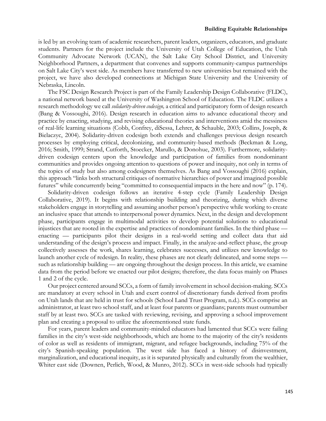is led by an evolving team of academic researchers, parent leaders, organizers, educators, and graduate students. Partners for the project include the University of Utah College of Education, the Utah Community Advocate Network (UCAN), the Salt Lake City School District, and University Neighborhood Partners, a department that convenes and supports community-campus partnerships on Salt Lake City's west side. As members have transferred to new universities but remained with the project, we have also developed connections at Michigan State University and the University of Nebraska, Lincoln.

The FSC Design Research Project is part of the Family Leadership Design Collaborative (FLDC), a national network based at the University of Washington School of Education. The FLDC utilizes a research methodology we call *solidarity-driven codesign,* a critical and participatory form of design research (Bang & Vossoughi, 2016). Design research in education aims to advance educational theory and practice by enacting, studying, and revising educational theories and interventions amid the messiness of real-life learning situations (Cobb, Confrey, diSessa, Lehrer, & Schauble, 2003; Collins, Joseph, & Bielaczyc, 2004). Solidarity-driven codesign both extends and challenges previous design research processes by employing critical, decolonizing, and community-based methods (Beckman & Long, 2016; Smith, 1999; Strand, Cutforth, Stoecker, Marullo, & Donohue, 2003). Furthermore, solidaritydriven codesign centers upon the knowledge and participation of families from nondominant communities and provides ongoing attention to questions of power and inequity, not only in terms of the topics of study but also among codesigners themselves. As Bang and Vossoughi (2016) explain, this approach "links both structural critiques of normative hierarchies of power and imagined possible futures" while concurrently being "committed to consequential impacts in the here and now" (p. 174).

Solidarity-driven codesign follows an iterative 4-step cycle (Family Leadership Design Collaborative, 2019). It begins with relationship building and theorizing, during which diverse stakeholders engage in storytelling and assuming another person's perspective while working to create an inclusive space that attends to interpersonal power dynamics. Next, in the design and development phase, participants engage in multimodal activities to develop potential solutions to educational injustices that are rooted in the expertise and practices of nondominant families. In the third phase enacting — participants pilot their designs in a real-world setting and collect data that aid understanding of the design's process and impact. Finally, in the analyze-and-reflect phase, the group collectively assesses the work, shares learning, celebrates successes, and utilizes new knowledge to launch another cycle of redesign. In reality, these phases are not clearly delineated, and some steps such as relationship building — are ongoing throughout the design process. In this article, we examine data from the period before we enacted our pilot designs; therefore, the data focus mainly on Phases 1 and 2 of the cycle.

Our project centered around SCCs, a form of family involvement in school decision-making. SCCs are mandatory at every school in Utah and exert control of discretionary funds derived from profits on Utah lands that are held in trust for schools (School Land Trust Program, n.d.). SCCs comprise an administrator, at least two school staff, and at least four parents or guardians; parents must outnumber staff by at least two. SCCs are tasked with reviewing, revising, and approving a school improvement plan and creating a proposal to utilize the aforementioned state funds.

For years, parent leaders and community-minded educators had lamented that SCCs were failing families in the city's west-side neighborhoods, which are home to the majority of the city's residents of color as well as residents of immigrant, migrant, and refugee backgrounds, including 75% of the city's Spanish-speaking population. The west side has faced a history of disinvestment, marginalization, and educational inequity, as it is separated physically and culturally from the wealthier, Whiter east side (Downen, Perlich, Wood, & Munro, 2012). SCCs in west-side schools had typically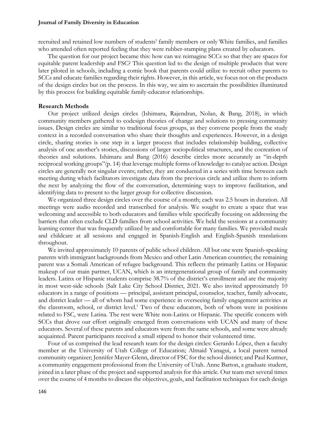recruited and retained low numbers of students' family members or only White families, and families who attended often reported feeling that they were rubber-stamping plans created by educators.

The question for our project became this: how can we reimagine SCCs so that they are spaces for equitable parent leadership and FSC? This question led to the design of multiple products that were later piloted in schools, including a comic book that parents could utilize to recruit other parents to SCCs and educate families regarding their rights. However, in this article, we focus not on the products of the design circles but on the process. In this way, we aim to ascertain the possibilities illuminated by this process for building equitable family-educator relationships.

## **Research Methods**

Our project utilized design circles (Ishimaru, Rajendran, Nolan, & Bang, 2018), in which community members gathered to codesign theories of change and solutions to pressing community issues. Design circles are similar to traditional focus groups, as they convene people from the study context in a recorded conversation who share their thoughts and experiences. However, in a design circle, sharing stories is one step in a larger process that includes relationship building, collective analysis of one another's stories, discussions of larger sociopolitical structures, and the cocreation of theories and solutions. Ishimaru and Bang (2016) describe circles more accurately as "in-depth reciprocal working groups"(p. 14) that leverage multiple forms of knowledge to catalyze action. Design circles are generally not singular events; rather, they are conducted in a series with time between each meeting during which facilitators investigate data from the previous circle and utilize them to inform the next by analyzing the flow of the conversation, determining ways to improve facilitation, and identifying data to present to the larger group for collective discussion.

We organized three design circles over the course of a month; each was 2.5 hours in duration. All meetings were audio recorded and transcribed for analysis. We sought to create a space that was welcoming and accessible to both educators and families while specifically focusing on addressing the barriers that often exclude CLD families from school activities. We held the sessions at a community learning center that was frequently utilized by and comfortable for many families. We provided meals and childcare at all sessions and engaged in Spanish-English and English-Spanish translations throughout.

We invited approximately 10 parents of public school children. All but one were Spanish-speaking parents with immigrant backgrounds from Mexico and other Latin American countries; the remaining parent was a Somali American of refugee background. This reflects the primarily Latinx or Hispanic makeup of our main partner, UCAN, which is an intergenerational group of family and community leaders. Latinx or Hispanic students comprise 38.7% of the district's enrollment and are the majority in most west-side schools (Salt Lake City School District, 2021. We also invited approximately 10 educators in a range of positions — principal, assistant principal, counselor, teacher, family advocate, and district leader — all of whom had some experience in overseeing family engagement activities at the classroom, school, or district level.1 Two of these educators, both of whom were in positions related to FSC, were Latina. The rest were White non-Latinx or Hispanic. The specific concern with SCCs that drove our effort originally emerged from conversations with UCAN and many of these educators. Several of these parents and educators were from the same schools, and some were already acquainted. Parent participants received a small stipend to honor their volunteered time.

Four of us comprised the lead research team for the design circles: Gerardo López, then a faculty member at the University of Utah College of Education; Almaid Yanagui, a local parent turned community organizer; Jennifer Mayer-Glenn, director of FSC for the school district; and Paul Kuttner, a community engagement professional from the University of Utah. Anne Barton, a graduate student, joined in a later phase of the project and supported analysis for this article. Our team met several times over the course of 4 months to discuss the objectives, goals, and facilitation techniques for each design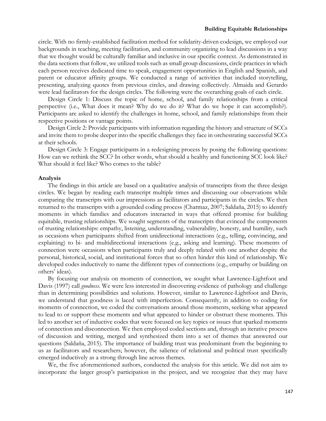circle. With no firmly-established facilitation method for solidarity-driven codesign, we employed our backgrounds in teaching, meeting facilitation, and community organizing to lead discussions in a way that we thought would be culturally familiar and inclusive in our specific context. As demonstrated in the data sections that follow, we utilized tools such as small group discussions, circle practices in which each person receives dedicated time to speak, engagement opportunities in English and Spanish, and parent or educator affinity groups. We conducted a range of activities that included storytelling, presenting, analyzing quotes from previous circles, and drawing collectively. Almaida and Gerardo were lead facilitators for the design circles. The following were the overarching goals of each circle.

Design Circle 1: Discuss the topic of home, school, and family relationships from a critical perspective (i.e., What does it mean? Why do we do it? What do we hope it can accomplish?). Participants are asked to identify the challenges in home, school, and family relationships from their respective positions or vantage points.

Design Circle 2: Provide participants with information regarding the history and structure of SCCs and invite them to probe deeper into the specific challenges they face in orchestrating successful SCCs at their schools.

Design Circle 3: Engage participants in a redesigning process by posing the following questions: How can we rethink the SCC? In other words, what should a healthy and functioning SCC look like? What should it feel like? Who comes to the table?

#### **Analysis**

The findings in this article are based on a qualitative analysis of transcripts from the three design circles. We began by reading each transcript multiple times and discussing our observations while comparing the transcripts with our impressions as facilitators and participants in the circles. We then returned to the transcripts with a grounded coding process (Charmaz, 2007; Saldaña, 2015) to identify moments in which families and educators interacted in ways that offered promise for building equitable, trusting relationships. We sought segments of the transcripts that evinced the components of trusting relationships: empathy, listening, understanding, vulnerability, honesty, and humility, such as occasions when participants shifted from unidirectional interactions (e.g., telling, convincing, and explaining) to bi- and multidirectional interactions (e.g., asking and learning). These moments of connection were occasions when participants truly and deeply related with one another despite the personal, historical, social, and institutional forces that so often hinder this kind of relationship. We developed codes inductively to name the different types of connections (e.g., empathy or building on others' ideas).

By focusing our analysis on moments of connection, we sought what Lawrence-Lightfoot and Davis (1997) call *goodness.* We were less interested in discovering evidence of pathology and challenge than in determining possibilities and solutions. However, similar to Lawrence-Lightfoot and Davis, we understand that goodness is laced with imperfection. Consequently, in addition to coding for moments of connection, we coded the conversations around those moments, seeking what appeared to lead to or support these moments and what appeared to hinder or obstruct these moments. This led to another set of inductive codes that were focused on key topics or issues that sparked moments of connection and disconnection. We then employed coded sections and, through an iterative process of discussion and writing, merged and synthesized them into a set of themes that answered our questions (Saldaña, 2015). The importance of building trust was predominant from the beginning to us as facilitators and researchers; however, the salience of relational and political trust specifically emerged inductively as a strong through line across themes.

We, the five aforementioned authors, conducted the analysis for this article. We did not aim to incorporate the larger group's participation in the project, and we recognize that they may have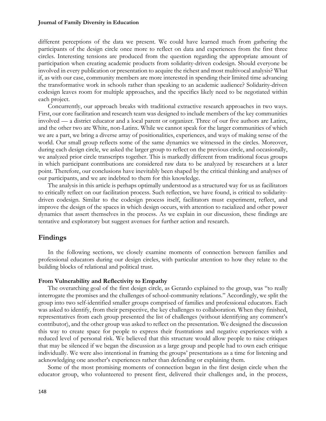different perceptions of the data we present. We could have learned much from gathering the participants of the design circle once more to reflect on data and experiences from the first three circles. Interesting tensions are produced from the question regarding the appropriate amount of participation when creating academic products from solidarity-driven codesign. Should everyone be involved in every publication or presentation to acquire the richest and most multivocal analysis? What if, as with our case, community members are more interested in spending their limited time advancing the transformative work in schools rather than speaking to an academic audience? Solidarity-driven codesign leaves room for multiple approaches, and the specifics likely need to be negotiated within each project.

Concurrently, our approach breaks with traditional extractive research approaches in two ways. First, our core facilitation and research team was designed to include members of the key communities involved — a district educator and a local parent or organizer. Three of our five authors are Latinx, and the other two are White, non-Latinx. While we cannot speak for the larger communities of which we are a part, we bring a diverse array of positionalities, experiences, and ways of making sense of the world. Our small group reflects some of the same dynamics we witnessed in the circles. Moreover, during each design circle, we asked the larger group to reflect on the previous circle, and occasionally, we analyzed prior circle transcripts together. This is markedly different from traditional focus groups in which participant contributions are considered raw data to be analyzed by researchers at a later point. Therefore, our conclusions have inevitably been shaped by the critical thinking and analyses of our participants, and we are indebted to them for this knowledge.

The analysis in this article is perhaps optimally understood as a structured way for us as facilitators to critically reflect on our facilitation process. Such reflection, we have found, is critical to solidaritydriven codesign. Similar to the codesign process itself, facilitators must experiment, reflect, and improve the design of the spaces in which design occurs, with attention to racialized and other power dynamics that assert themselves in the process. As we explain in our discussion, these findings are tentative and exploratory but suggest avenues for further action and research.

# **Findings**

In the following sections, we closely examine moments of connection between families and professional educators during our design circles, with particular attention to how they relate to the building blocks of relational and political trust.

## **From Vulnerability and Reflectivity to Empathy**

The overarching goal of the first design circle, as Gerardo explained to the group, was "to really interrogate the promises and the challenges of school-community relations." Accordingly, we split the group into two self-identified smaller groups comprised of families and professional educators. Each was asked to identify, from their perspective, the key challenges to collaboration. When they finished, representatives from each group presented the list of challenges (without identifying any comment's contributor), and the other group was asked to reflect on the presentation. We designed the discussion this way to create space for people to express their frustrations and negative experiences with a reduced level of personal risk. We believed that this structure would allow people to raise critiques that may be silenced if we began the discussion as a large group and people had to own each critique individually. We were also intentional in framing the groups' presentations as a time for listening and acknowledging one another's experiences rather than defending or explaining them.

Some of the most promising moments of connection began in the first design circle when the educator group, who volunteered to present first, delivered their challenges and, in the process,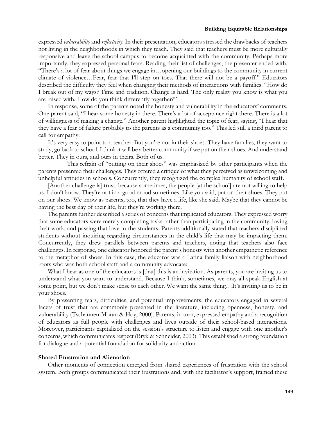expressed *vulnerability* and *reflectivity*. In their presentation, educators stressed the drawbacks of teachers not living in the neighborhoods in which they teach. They said that teachers must be more culturally responsive and leave the school campus to become acquainted with the community. Perhaps more importantly, they expressed personal fears. Reading their list of challenges, the presenter ended with,

"There's a lot of fear about things we engage in…opening our buildings to the community in current climate of violence…Fear, fear that I'll step on toes. That there will not be a payoff." Educators described the difficulty they feel when changing their methods of interactions with families. "How do I break out of my ways? Time and tradition. Change is hard. The only reality you know is what you are raised with. How do you think differently together?"

In response, some of the parents noted the honesty and vulnerability in the educators' comments. One parent said, "I hear some honesty in there. There's a lot of acceptance right there. There is a lot of willingness of making a change." Another parent highlighted the topic of fear, saying, "I hear that they have a fear of failure probably to the parents as a community too." This led still a third parent to call for empathy:

It's very easy to point to a teacher. But you're not in their shoes. They have families, they want to study, go back to school. I think it will be a better community if we put on their shoes. And understand better. They in ours, and ours in theirs. Both of us.

 This refrain of "putting on their shoes" was emphasized by other participants when the parents presented their challenges. They offered a critique of what they perceived as unwelcoming and unhelpful attitudes in schools. Concurrently, they recognized the complex humanity of school staff.

[Another challenge is] trust, because sometimes, the people [at the school] are not willing to help us. I don't know. They're not in a good mood sometimes. Like you said, put on their shoes. They put on our shoes. We know as parents, too, that they have a life, like she said. Maybe that they cannot be having the best day of their life, but they're working there.

The parents further described a series of concerns that implicated educators. They expressed worry that some educators were merely completing tasks rather than participating in the community, loving their work, and passing that love to the students. Parents additionally stated that teachers disciplined students without inquiring regarding circumstances in the child's life that may be impacting them. Concurrently, they drew parallels between parents and teachers, noting that teachers also face challenges. In response, one educator honored the parent's honesty with another empathetic reference to the metaphor of shoes. In this case, the educator was a Latina family liaison with neighborhood roots who was both school staff and a community advocate:

What I hear as one of the educators is [that] this is an invitation. As parents, you are inviting us to understand what you want to understand. Because I think, sometimes, we may all speak English at some point, but we don't make sense to each other. We want the same thing…It's inviting us to be in your shoes.

By presenting fears, difficulties, and potential improvements, the educators engaged in several facets of trust that are commonly presented in the literature, including openness, honesty, and vulnerability (Tschannen-Moran & Hoy, 2000). Parents, in turn, expressed empathy and a recognition of educators as full people with challenges and lives outside of their school-based interactions. Moreover, participants capitalized on the session's structure to listen and engage with one another's concerns, which communicates respect (Bryk & Schneider, 2003). This established a strong foundation for dialogue and a potential foundation for solidarity and action.

## **Shared Frustration and Alienation**

Other moments of connection emerged from shared experiences of frustration with the school system. Both groups communicated their frustrations and, with the facilitator's support, framed these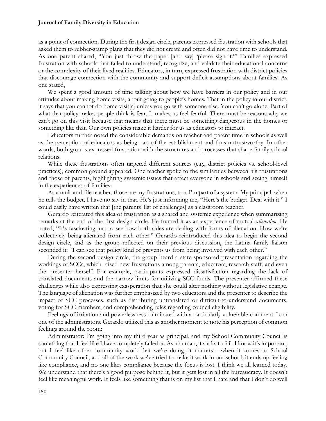as a point of connection. During the first design circle, parents expressed frustration with schools that asked them to rubber-stamp plans that they did not create and often did not have time to understand. As one parent shared, "You just throw the paper [and say] 'please sign it.'" Families expressed frustration with schools that failed to understand, recognize, and validate their educational concerns or the complexity of their lived realities. Educators, in turn, expressed frustration with district policies that discourage connection with the community and support deficit assumptions about families. As one stated,

We spent a good amount of time talking about how we have barriers in our policy and in our attitudes about making home visits, about going to people's homes. That in the policy in our district, it says that you cannot do home visit[s] unless you go with someone else. You can't go alone. Part of what that policy makes people think is fear. It makes us feel fearful. There must be reasons why we can't go on this visit because that means that there must be something dangerous in the homes or something like that. Our own policies make it harder for us as educators to interact.

Educators further noted the considerable demands on teacher and parent time in schools as well as the perception of educators as being part of the establishment and thus untrustworthy. In other words, both groups expressed frustration with the structures and processes that shape family-school relations.

While these frustrations often targeted different sources (e.g., district policies vs. school-level practices), common ground appeared. One teacher spoke to the similarities between his frustrations and those of parents, highlighting systemic issues that affect everyone in schools and seeing himself in the experiences of families:

As a rank-and-file teacher, those are my frustrations, too. I'm part of a system. My principal, when he tells the budget, I have no say in that. He's just informing me, "Here's the budget. Deal with it." I could easily have written that [the parents' list of challenges] as a classroom teacher.

Gerardo reiterated this idea of frustration as a shared and systemic experience when summarizing remarks at the end of the first design circle. He framed it as an experience of mutual *alienation*. He noted, "It's fascinating just to see how both sides are dealing with forms of alienation. How we're collectively being alienated from each other." Gerardo reintroduced this idea to begin the second design circle, and as the group reflected on their previous discussion, the Latina family liaison seconded it: "I can see that policy kind of prevents us from being involved with each other."

During the second design circle, the group heard a state-sponsored presentation regarding the workings of SCCs, which raised new frustrations among parents, educators, research staff, and even the presenter herself. For example, participants expressed dissatisfaction regarding the lack of translated documents and the narrow limits for utilizing SCC funds. The presenter affirmed these challenges while also expressing exasperation that she could alter nothing without legislative change. The language of alienation was further emphasized by two educators and the presenter to describe the impact of SCC processes, such as distributing untranslated or difficult-to-understand documents, voting for SCC members, and comprehending rules regarding council eligibility.

Feelings of irritation and powerlessness culminated with a particularly vulnerable comment from one of the administrators. Gerardo utilized this as another moment to note his perception of common feelings around the room:

Administrator: I'm going into my third year as principal, and my School Community Council is something that I feel like I have completely failed at. As a human, it sucks to fail. I know it's important, but I feel like other community work that we're doing, it matters….when it comes to School Community Council, and all of the work we've tried to make it work in our school, it ends up feeling like compliance, and no one likes compliance because the focus is lost. I think we all learned today. We understand that there's a good purpose behind it, but it gets lost in all the bureaucracy. It doesn't feel like meaningful work. It feels like something that is on my list that I hate and that I don't do well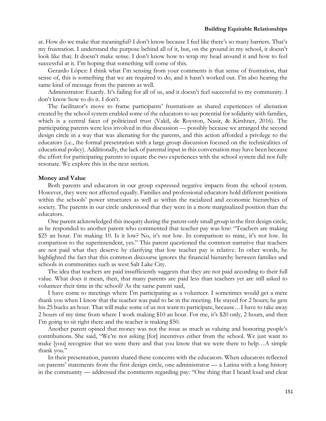at. How do we make that meaningful? I don't know because I feel like there's so many barriers. That's my frustration. I understand the purpose behind all of it, but, on the ground in my school, it doesn't look like that. It doesn't make sense. I don't know how to wrap my head around it and how to feel successful at it. I'm hoping that something will come of this.

Gerardo López: I think what I'm sensing from your comments is that sense of frustration, that sense of, this is something that we are required to do, and it hasn't worked out. I'm also hearing the same kind of message from the parents as well.

Administrator: Exactly. It's failing for all of us, and it doesn't feel successful to my community. I don't know how to do it. I don't.

The facilitator's move to frame participants' frustrations as shared experiences of alienation created by the school system enabled some of the educators to see potential for solidarity with families, which is a central facet of politicized trust (Vakil, de Royston, Nasir, & Kirshner, 2016). The participating parents were less involved in this discussion — possibly because we arranged the second design circle in a way that was alienating for the parents, and this action afforded a privilege to the educators (i.e., the formal presentation with a large group discussion focused on the technicalities of educational policy). Additionally, the lack of parental input in this conversation may have been because the effort for participating parents to equate the two experiences with the school system did not fully resonate. We explore this in the next section.

## **Money and Value**

Both parents and educators in our group expressed negative impacts from the school system. However, they were not affected equally. Families and professional educators hold different positions within the schools' power structures as well as within the racialized and economic hierarchies of society. The parents in our circle understood that they were in a more marginalized position than the educators.

One parent acknowledged this inequity during the parent-only small group in the first design circle, as he responded to another parent who commented that teacher pay was low: "Teachers are making \$25 an hour. I'm making 10. Is it low? No, it's not low. In comparison to mine, it's not low. In comparison to the superintendent, yes." This parent questioned the common narrative that teachers are not paid what they deserve by clarifying that low teacher pay is relative. In other words, he highlighted the fact that this common discourse ignores the financial hierarchy between families and schools in communities such as west Salt Lake City.

The idea that teachers are paid insufficiently suggests that they are not paid according to their full value. What does it mean, then, that many parents are paid less than teachers yet are still asked to volunteer their time in the school? As the same parent said,

I have come to meetings where I'm participating as a volunteer. I sometimes would get a mere thank you when I know that the teacher was paid to be in the meeting. He stayed for 2 hours; he gets his 25 bucks an hour. That will make some of us not want to participate, because…I have to take away 2 hours of my time from where I work making \$10 an hour. For me, it's \$20 only, 2 hours, and then I'm going to sit right there and the teacher is making \$50.

Another parent opined that money was not the issue as much as valuing and honoring people's contributions. She said, "We're not asking [for] incentives either from the school. We just want to make [you] recognize that we were there and that you know that we were there to help…A simple thank you."

In their presentation, parents shared these concerns with the educators. When educators reflected on parents' statements from the first design circle, one administrator — a Latina with a long history in the community — addressed the comments regarding pay: "One thing that I heard loud and clear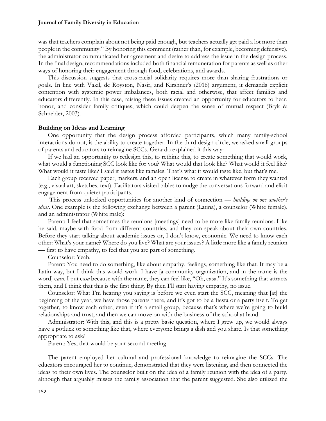was that teachers complain about not being paid enough, but teachers actually get paid a lot more than people in the community." By honoring this comment (rather than, for example, becoming defensive), the administrator communicated her agreement and desire to address the issue in the design process. In the final design, recommendations included both financial remuneration for parents as well as other ways of honoring their engagement through food, celebrations, and awards.

This discussion suggests that cross-racial solidarity requires more than sharing frustrations or goals. In line with Vakil, de Royston, Nasir, and Kirshner's (2016) argument, it demands explicit contention with systemic power imbalances, both racial and otherwise, that affect families and educators differently. In this case, raising these issues created an opportunity for educators to hear, honor, and consider family critiques, which could deepen the sense of mutual respect (Bryk & Schneider, 2003).

## **Building on Ideas and Learning**

One opportunity that the design process afforded participants, which many family-school interactions do not, is the ability to create together. In the third design circle, we asked small groups of parents and educators to reimagine SCCs. Gerardo explained it this way:

If we had an opportunity to redesign this, to rethink this, to create something that would work, what would a functioning SCC look like for you? What would that look like? What would it feel like? What would it taste like? I said it tastes like tamales. That's what it would taste like, but that's me.

Each group received paper, markers, and an open license to create in whatever form they wanted (e.g., visual art, sketches, text). Facilitators visited tables to nudge the conversations forward and elicit engagement from quieter participants.

This process unlocked opportunities for another kind of connection — *building on one another's ideas*. One example is the following exchange between a parent (Latina), a counselor (White female), and an administrator (White male):

Parent: I feel that sometimes the reunions [meetings] need to be more like family reunions. Like he said, maybe with food from different countries, and they can speak about their own countries. Before they start talking about academic issues or, I don't know, economic. We need to know each other: What's your name? Where do you live? What are your issues? A little more like a family reunion — first to have empathy, to feel that you are part of something.

Counselor: Yeah.

Parent: You need to do something, like about empathy, feelings, something like that. It may be a Latin way, but I think this would work. I have [a community organization, and in the name is the word] c*asa*. I put c*asa* because with the name, they can feel like, "Oh, casa." It's something that attracts them, and I think that this is the first thing. By then I'll start having empathy, no issue.

Counselor: What I'm hearing you saying is before we even start the SCC, meaning that [at] the beginning of the year, we have those parents there, and it's got to be a fiesta or a party itself. To get together, to know each other, even if it's a small group, because that's where we're going to build relationships and trust, and then we can move on with the business of the school at hand.

Administrator: With this, and this is a pretty basic question, where I grew up, we would always have a potluck or something like that, where everyone brings a dish and you share. Is that something appropriate to ask?

Parent: Yes, that would be your second meeting.

The parent employed her cultural and professional knowledge to reimagine the SCCs. The educators encouraged her to continue, demonstrated that they were listening, and then connected the ideas to their own lives. The counselor built on the idea of a family reunion with the idea of a party, although that arguably misses the family association that the parent suggested. She also utilized the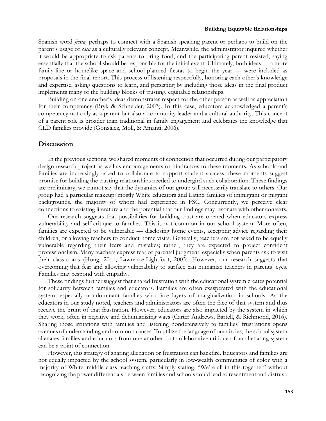Spanish word *fiesta,* perhaps to connect with a Spanish-speaking parent or perhaps to build on the parent's usage of *casa* as a culturally relevant concept. Meanwhile, the administrator inquired whether it would be appropriate to ask parents to bring food, and the participating parent resisted, saying essentially that the school should be responsible for the initial event. Ultimately, both ideas — a more family-like or homelike space and school-planned fiestas to begin the year — were included as proposals in the final report. This process of listening respectfully, honoring each other's knowledge and expertise, asking questions to learn, and persisting by including those ideas in the final product implements many of the building blocks of trusting, equitable relationships.

Building on one another's ideas demonstrates respect for the other person as well as appreciation for their competency (Bryk & Schneider, 2003). In this case, educators acknowledged a parent's competency not only as a parent but also a community leader and a cultural authority. This concept of a parent role is broader than traditional in family engagement and celebrates the knowledge that CLD families provide (González, Moll, & Amanti, 2006).

# **Discussion**

In the previous sections, we shared moments of connection that occurred during our participatory design research project as well as encouragements or hindrances to these moments. As schools and families are increasingly asked to collaborate to support student success, these moments suggest promise for building the trusting relationships needed to undergird such collaboration. These findings are preliminary; we cannot say that the dynamics of our group will necessarily translate to others. Our group had a particular makeup: mostly White educators and Latinx families of immigrant or migrant backgrounds, the majority of whom had experience in FSC. Concurrently, we perceive clear connections to existing literature and the potential that our findings may resonate with other contexts.

Our research suggests that possibilities for building trust are opened when educators express vulnerability and self-critique to families. This is not common in our school system. More often, families are expected to be vulnerable — disclosing home events, accepting advice regarding their children, or allowing teachers to conduct home visits. Generally, teachers are not asked to be equally vulnerable regarding their fears and mistakes; rather, they are expected to project confident professionalism. Many teachers express fear of parental judgment, especially when parents ask to visit their classrooms (Hong, 2011; Lawrence-Lightfoot, 2003). However, our research suggests that overcoming that fear and allowing vulnerability to surface can humanize teachers in parents' eyes. Families may respond with empathy.

These findings further suggest that shared frustration with the educational system creates potential for solidarity between families and educators. Families are often exasperated with the educational system, especially nondominant families who face layers of marginalization in schools. As the educators in our study noted, teachers and administrators are often the face of that system and thus receive the brunt of that frustration. However, educators are also impacted by the system in which they work, often in negative and dehumanizing ways (Carter Andrews, Bartell, & Richmond, 2016). Sharing those irritations with families and listening nondefensively to families' frustrations opens avenues of understanding and common causes. To utilize the language of our circles, the school system alienates families and educators from one another, but collaborative critique of an alienating system can be a point of connection.

However, this strategy of sharing alienation or frustration can backfire. Educators and families are not equally impacted by the school system, particularly in low-wealth communities of color with a majority of White, middle-class teaching staffs. Simply stating, "We're all in this together" without recognizing the power differentials between families and schools could lead to resentment and distrust.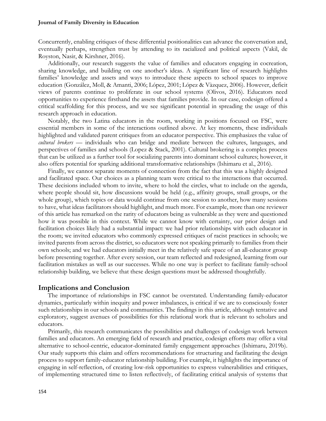Concurrently, enabling critiques of these differential positionalities can advance the conversation and, eventually perhaps, strengthen trust by attending to its racialized and political aspects (Vakil, de Royston, Nasir, & Kirshner, 2016).

Additionally, our research suggests the value of families and educators engaging in cocreation, sharing knowledge, and building on one another's ideas. A significant line of research highlights families' knowledge and assets and ways to introduce these aspects to school spaces to improve education (González, Moll, & Amanti, 2006; López, 2001; López & Vàzquez, 2006). However, deficit views of parents continue to proliferate in our school systems (Olivos, 2016). Educators need opportunities to experience firsthand the assets that families provide. In our case, codesign offered a critical scaffolding for this process, and we see significant potential in spreading the usage of this research approach in education.

Notably, the two Latina educators in the room, working in positions focused on FSC, were essential members in some of the interactions outlined above. At key moments, these individuals highlighted and validated parent critiques from an educator perspective. This emphasizes the value of *cultural brokers* — individuals who can bridge and mediate between the cultures, languages, and perspectives of families and schools (Lopez & Stack, 2001). Cultural brokering is a complex process that can be utilized as a further tool for socializing parents into dominant school cultures; however, it also offers potential for sparking additional transformative relationships (Ishimaru et al., 2016).

Finally, we cannot separate moments of connection from the fact that this was a highly designed and facilitated space. Our choices as a planning team were critical to the interactions that occurred. These decisions included whom to invite, where to hold the circles, what to include on the agenda, where people should sit, how discussions would be held (e.g., affinity groups, small groups, or the whole group), which topics or data would continue from one session to another, how many sessions to have, what ideas facilitators should highlight, and much more. For example, more than one reviewer of this article has remarked on the rarity of educators being as vulnerable as they were and questioned how it was possible in this context. While we cannot know with certainty, our prior design and facilitation choices likely had a substantial impact: we had prior relationships with each educator in the room; we invited educators who commonly expressed critiques of racist practices in schools; we invited parents from across the district, so educators were not speaking primarily to families from their own schools; and we had educators initially meet in the relatively safe space of an all-educator group before presenting together. After every session, our team reflected and redesigned, learning from our facilitation mistakes as well as our successes. While no one way is perfect to facilitate family-school relationship building, we believe that these design questions must be addressed thoughtfully.

# **Implications and Conclusion**

The importance of relationships in FSC cannot be overstated. Understanding family-educator dynamics, particularly within inequity and power imbalances, is critical if we are to consciously foster such relationships in our schools and communities. The findings in this article, although tentative and exploratory, suggest avenues of possibilities for this relational work that is relevant to scholars and educators.

Primarily, this research communicates the possibilities and challenges of codesign work between families and educators. An emerging field of research and practice, codesign efforts may offer a vital alternative to school-centric, educator-dominated family engagement approaches (Ishimaru, 2019b). Our study supports this claim and offers recommendations for structuring and facilitating the design process to support family-educator relationship building. For example, it highlights the importance of engaging in self-reflection, of creating low-risk opportunities to express vulnerabilities and critiques, of implementing structured time to listen reflectively, of facilitating critical analysis of systems that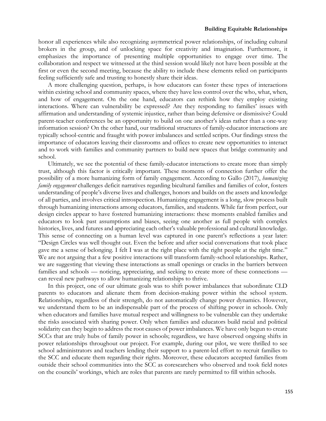honor all experiences while also recognizing asymmetrical power relationships, of including cultural brokers in the group, and of unlocking space for creativity and imagination. Furthermore, it emphasizes the importance of presenting multiple opportunities to engage over time. The collaboration and respect we witnessed at the third session would likely not have been possible at the first or even the second meeting, because the ability to include these elements relied on participants feeling sufficiently safe and trusting to honestly share their ideas.

A more challenging question, perhaps, is how educators can foster these types of interactions within existing school and community spaces, where they have less control over the who, what, when, and how of engagement. On the one hand, educators can rethink how they employ existing interactions. Where can vulnerability be expressed? Are they responding to families' issues with affirmation and understanding of systemic injustice, rather than being defensive or dismissive? Could parent-teacher conferences be an opportunity to build on one another's ideas rather than a one-way information session? On the other hand, our traditional structures of family-educator interactions are typically school-centric and fraught with power imbalances and settled scripts. Our findings stress the importance of educators leaving their classrooms and offices to create new opportunities to interact and to work with families and community partners to build new spaces that bridge community and school.

Ultimately, we see the potential of these family-educator interactions to create more than simply trust, although this factor is critically important. These moments of connection further offer the possibility of a more humanizing form of family engagement. According to Gallo (2017), *humanizing family engagement* challenges deficit narratives regarding bicultural families and families of color, fosters understanding of people's diverse lives and challenges, honors and builds on the assets and knowledge of all parties, and involves critical introspection. Humanizing engagement is a long, slow process built through humanizing interactions among educators, families, and students. While far from perfect, our design circles appear to have fostered humanizing interactions: these moments enabled families and educators to look past assumptions and biases, seeing one another as full people with complex histories, lives, and futures and appreciating each other's valuable professional and cultural knowledge. This sense of connecting on a human level was captured in one parent's reflections a year later: "Design Circles was well thought out. Even the before and after social conversations that took place gave me a sense of belonging. I felt I was at the right place with the right people at the right time." We are not arguing that a few positive interactions will transform family-school relationships. Rather, we are suggesting that viewing these interactions as small openings or cracks in the barriers between families and schools — noticing, appreciating, and seeking to create more of these connections can reveal new pathways to allow humanizing relationships to thrive.

In this project, one of our ultimate goals was to shift power imbalances that subordinate CLD parents to educators and alienate them from decision-making power within the school system. Relationships, regardless of their strength, do not automatically change power dynamics. However, we understand them to be an indispensable part of the process of shifting power in schools. Only when educators and families have mutual respect and willingness to be vulnerable can they undertake the risks associated with sharing power. Only when families and educators build racial and political solidarity can they begin to address the root causes of power imbalances. We have only begun to create SCCs that are truly hubs of family power in schools; regardless, we have observed ongoing shifts in power relationships throughout our project. For example, during our pilot, we were thrilled to see school administrators and teachers lending their support to a parent-led effort to recruit families to the SCC and educate them regarding their rights. Moreover, these educators accepted families from outside their school communities into the SCC as coresearchers who observed and took field notes on the councils' workings, which are roles that parents are rarely permitted to fill within schools.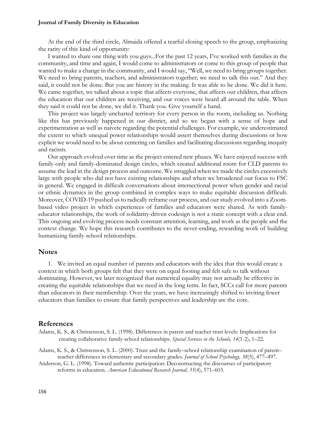At the end of the third circle, Almaida offered a tearful closing speech to the group, emphasizing the rarity of this kind of opportunity:

I wanted to share one thing with you guys...For the past 12 years, I've worked with families in the community, and time and again, I would come to administrators or come to this group of people that wanted to make a change in the community, and I would say, "Well, we need to bring groups together. We need to bring parents, teachers, and administrators together; we need to talk this out." And they said, it could not be done. But you are history in the making. It was able to be done. We did it here. We came together, we talked about a topic that affects everyone, that affects our children, that affects the education that our children are receiving, and our voices were heard all around the table. When they said it could not be done, we did it. Thank you. Give yourself a hand.

This project was largely uncharted territory for every person in the room, including us. Nothing like this has previously happened in our district, and so we began with a sense of hope and experimentation as well as naivete regarding the potential challenges. For example, we underestimated the extent to which unequal power relationships would assert themselves during discussions or how explicit we would need to be about centering on families and facilitating discussions regarding inequity and racism.

Our approach evolved over time as the project entered new phases. We have enjoyed success with family-only and family-dominated design circles, which created additional room for CLD parents to assume the lead in the design process and outcome. We struggled when we made the circles excessively large with people who did not have existing relationships and when we broadened our focus to FSC in general. We engaged in difficult conversations about intersectional power when gender and racial or ethnic dynamics in the group combined in complex ways to make equitable discussion difficult. Moreover, COVID-19 pushed us to radically reframe our process, and our study evolved into a Zoombased video project in which experiences of families and educators were shared. As with familyeducator relationships, the work of solidarity-driven codesign is not a static concept with a clear end. This ongoing and evolving process needs constant attention, learning, and work as the people and the context change. We hope this research contributes to the never-ending, rewarding work of building humanizing family-school relationships.

# **Notes**

1. We invited an equal number of parents and educators with the idea that this would create a context in which both groups felt that they were on equal footing and felt safe to talk without dominating. However, we later recognized that numerical equality may not actually be effective in creating the equitable relationships that we need in the long term. In fact, SCCs call for more parents than educators in their membership. Over the years, we have increasingly shifted to inviting fewer educators than families to ensure that family perspectives and leadership are the core.

## **References**

- Adams, K. S., & Christenson, S. L. (1998). Differences in parent and teacher trust levels: Implications for creating collaborative family-school relationships. *Special Services in the Schools, 14*(1-2), 1–22.
- Adams, K. S., & Christenson, S. L. (2000). Trust and the family–school relationship examination of parent– teacher differences in elementary and secondary grades. *Journal of School Psychology, 38*(5), 477–497.

Anderson, G. L. (1998). Toward authentic participation: Deconstructing the discourses of participatory reforms in education. *American Educational Research Journal, 35*(4), 571–603.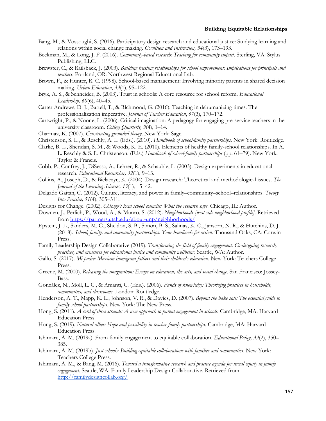- Bang, M., & Vossoughi, S. (2016). Participatory design research and educational justice: Studying learning and relations within social change making. *Cognition and Instruction, 34*(3), 173–193.
- Beckman, M., & Long, J. F. (2016). *Community-based research: Teaching for community impact*. Sterling, VA: Stylus Publishing, LLC.
- Brewster, C., & Railsback, J. (2003). *Building trusting relationships for school improvement: Implications for principals and teachers*. Portland, OR: Northwest Regional Educational Lab.
- Brown, F., & Hunter, R. C. (1998). School-based management: Involving minority parents in shared decision making. *Urban Education*, *33*(1), 95–122.
- Bryk, A. S., & Schneider, B. (2003). Trust in schools: A core resource for school reform. *Educational Leadership, 60*(6), 40–45.
- Carter Andrews, D. J., Bartell, T., & Richmond, G. (2016). Teaching in dehumanizing times: The professionalization imperative. *Journal of Teacher Education*, *67*(3), 170–172.
- Cartwright, P., & Noone, L. (2006). Critical imagination: A pedagogy for engaging pre-service teachers in the university classroom. *College Quarterly, 9*(4), 1–14.
- Charmaz, K. (2007). *Constructing grounded theory*. New York: Sage.
- Christenson, S. L., & Reschly, A. L. (Eds.). (2010). *Handbook of school-family partnerships.* New York: Routledge.
- Clarke, B. L., Sheridan, S. M., & Woods, K. E. (2010). Elements of healthy family-school relationships. In A. L. Reschly & S. L. Christenson. (Eds.) *Handbook of school-family partnerships* (pp. 61–79). New York: Taylor & Francis.
- Cobb, P., Confrey, J., DiSessa, A., Lehrer, R., & Schauble, L. (2003). Design experiments in educational research. *Educational Researcher, 32*(1), 9–13.
- Collins, A., Joseph, D., & Bielaczyc, K. (2004). Design research: Theoretical and methodological issues. *The Journal of the Learning Sciences, 13*(1), 15–42.
- Delgado Gaitan, C. (2012). Culture, literacy, and power in family–community–school–relationships. *Theory Into Practice, 51*(4), 305–311.
- Designs for Change. (2002). *Chicago's local school councils: What the research says*. Chicago, IL: Author.
- Downen, J., Perlich, P., Wood, A., & Munro, S. (2012). *Neighborhoods [west side neighborhood profile].* Retrieved from https://partners.utah.edu/about-unp/neighborhoods/
- Epstein, J. L., Sanders, M. G., Sheldon, S. B., Simon, B. S., Salinas, K. C., Jansorn, N. R., & Hutchins, D. J. (2018). *School, family, and community partnerships: Your handbook for action*. Thousand Oaks, CA: Corwin Press.
- Family Leadership Design Collaborative (2019). *Transforming the field of family engagement: Co-designing research, practices, and measures for educational justice and community wellbeing*. Seattle, WA: Author.
- Gallo, S. (2017). *Mi padre: Mexican immigrant fathers and their children's education*. New York: Teachers College Press.
- Greene, M. (2000). *Releasing the imagination: Essays on education, the arts, and social change*. San Francisco: Jossey-Bass.
- González, N., Moll, L. C., & Amanti, C. (Eds.). (2006). *Funds of knowledge: Theorizing practices in households, communities, and classrooms*. London: Routledge.
- Henderson, A. T., Mapp, K. L., Johnson, V. R., & Davies, D. (2007). *Beyond the bake sale: The essential guide to family-school partnerships*. New York: The New Press.
- Hong, S. (2011). *A cord of three strands: A new approach to parent engagement in schools.* Cambridge, MA: Harvard Education Press.
- Hong, S. (2019). *Natural allies: Hope and possibility in teacher-family partnerships.* Cambridge, MA: Harvard Education Press.
- Ishimaru, A. M. (2019a). From family engagement to equitable collaboration. *Educational Policy, 33*(2), 350– 385.
- Ishimaru, A. M. (2019b). *Just schools: Building equitable collaborations with families and communities*. New York: Teachers College Press.
- Ishimaru, A. M., & Bang, M. (2016). *Toward a transformative research and practice agenda for racial equity in family engagement.* Seattle, WA: Family Leadership Design Collaborative. Retrieved from http://familydesigncollab.org/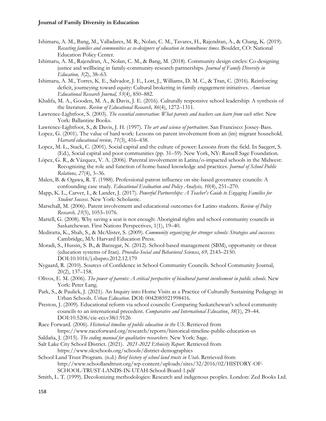- Ishimaru, A. M., Bang, M., Valladares, M. R., Nolan, C. M., Tavares, H., Rajendran, A., & Chang, K. (2019). *Recasting families and communities as co-designers of education in tumultuous times.* Boulder, CO: National Education Policy Center.
- Ishimaru, A. M., Rajendran, A., Nolan, C. M., & Bang, M. (2018). Community design circles: Co-designing justice and wellbeing in family-community-research partnerships. *Journal of Family Diversity in Education, 3*(2), 38–63.
- Ishimaru, A. M., Torres, K. E., Salvador, J. E., Lott, J., Williams, D. M. C., & Tran, C. (2016). Reinforcing deficit, journeying toward equity: Cultural brokering in family engagement initiatives. *American Educational Research Journal, 53*(4), 850–882.
- Khalifa, M. A., Gooden, M. A., & Davis, J. E. (2016). Culturally responsive school leadership: A synthesis of the literature. *Review of Educational Research, 86*(4), 1272–1311.
- Lawrence-Lightfoot, S. (2003). *The essential conversation: What parents and teachers can learn from each other.* New York: Ballantine Books.
- Lawrence-Lightfoot, S., & Davis, J. H. (1997). *The art and science of portraiture*. San Francisco: Jossey-Bass.
- Lopez, G. (2001). The value of hard work: Lessons on parent involvement from an (im) migrant household. *Harvard educational review*, *71*(3), 416–438.
- Lopez, M. L., Stack, C. (2001). Social capital and the culture of power: Lessons from the field. In Saegert, S. (Ed.), Social capital and poor communities (pp. 31–59). New York, NY: Russell Sage Foundation.
- López, G. R., & Vázquez, V. A. (2006). Parental involvement in Latina/o-impacted schools in the Midwest: Recognizing the role and function of home-based knowledge and practices. *Journal of School Public Relations, 27*(4), 3–36.
- Malen, B. & Ogawa, R. T. (1988). Professional-patron influence on site-based governance councils: A confounding case study. *Educational Evaluation and Policy Analysis, 10*(4), 251–270.
- Mapp, K. L., Carver, I., & Lander, J. (2017). *Powerful Partnerships: A Teacher's Guide to Engaging Families for Student Success*. New York: Scholastic.
- Marschall, M. (2006). Parent involvement and educational outcomes for Latino students. *Review of Policy Research, 23*(5), 1053–1076.
- Martell, G. (2008). Why saving a seat is not enough: Aboriginal rights and school community councils in Saskatchewan. First Nations Perspectives, 1(1), 19–40.
- Mediratta, K., Shah, S., & McAlister, S. (2009). *Community organizing for stronger schools: Strategies and successes*. Cambridge, MA: Harvard Education Press.
- Moradi, S., Hussin, S. B., & Barzegar, N. (2012). School-based management (SBM), opportunity or threat (education systems of Iran). *Procedia-Social and Behavioral Sciences*, *69*, 2143–2150. DOI:10.1016/j.sbspro.2012.12.179
- Nygaard, R. (2010). Sources of Confidence in School Community Councils. School Community Journal, 20(2), 137–158.
- Olivos, E. M. (2006). *The power of parents: A critical perspective of bicultural parent involvement in public schools*. New York: Peter Lang.
- Park, S., & Paulick, J. (2021). An Inquiry into Home Visits as a Practice of Culturally Sustaining Pedagogy in Urban Schools. *Urban Education*. DOI: 0042085921998416.
- Preston, J. (2009). Educational reform via school councils: Comparing Saskatchewan's school community councils to an international precedent. *Comparative and International Education*, *38*(1), 29–44. DOI:10.5206/cie-eci.v38i1.9126
- Race Forward. (2006). *Historical timeline of public education in the US*. Retrieved from https://www.raceforward.org/research/reports/historical-timeline-public-education-us
- Saldaña, J. (2015). *The coding manual for qualitative researchers*. New York: Sage.
- Salt Lake City School District. (2021). *2021-2022 Ethnicity Report*. Retrieved from https://www.slcschools.org/schools/district-demographics
- School Land Trust Program. (n.d.) *Brief history of school land trusts in Utah*. Retrieved from http://www.schoollandtrust.org/wp-content/uploads/sites/32/2016/02/HISTORY-OF-SCHOOL-TRUST-LANDS-IN-UTAH-School-Board-1.pdf
- Smith, L. T. (1999). Decolonizing methodologies: Research and indigenous peoples. London: Zed Books Ltd.